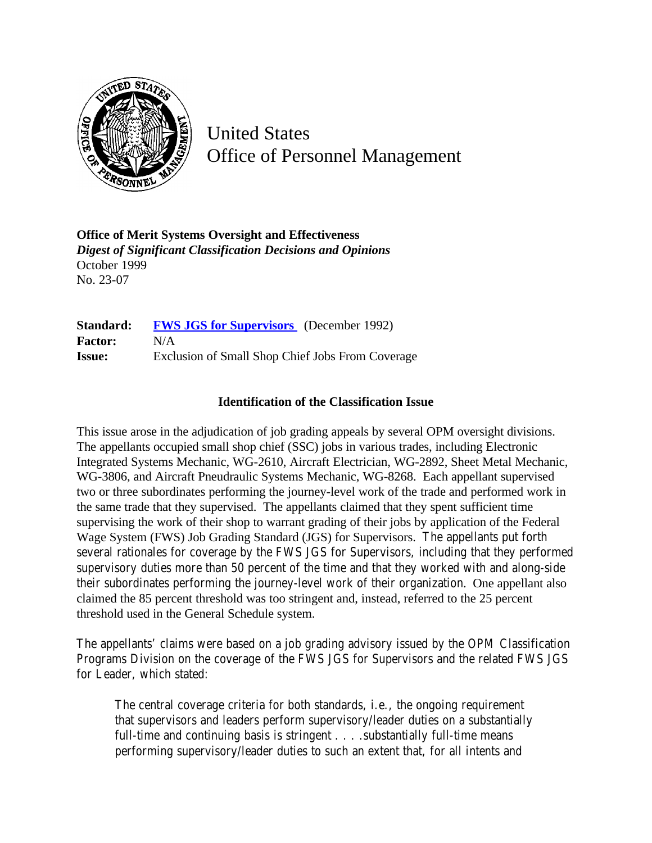

United States Office of Personnel Management

**Office of Merit Systems Oversight and Effectiveness** *Digest of Significant Classification Decisions and Opinions* October 1999 No. 23-07

**Standard: [FWS JGS for Supervisors](http://www.opm.gov/hr/fedclass/fwssupv.pdf)** (December 1992) **Factor:** N/A **Issue:** Exclusion of Small Shop Chief Jobs From Coverage

## **Identification of the Classification Issue**

This issue arose in the adjudication of job grading appeals by several OPM oversight divisions. The appellants occupied small shop chief (SSC) jobs in various trades, including Electronic Integrated Systems Mechanic, WG-2610, Aircraft Electrician, WG-2892, Sheet Metal Mechanic, WG-3806, and Aircraft Pneudraulic Systems Mechanic, WG-8268. Each appellant supervised two or three subordinates performing the journey-level work of the trade and performed work in the same trade that they supervised. The appellants claimed that they spent sufficient time supervising the work of their shop to warrant grading of their jobs by application of the Federal Wage System (FWS) Job Grading Standard (JGS) for Supervisors. The appellants put forth several rationales for coverage by the FWS JGS for Supervisors, including that they performed supervisory duties more than 50 percent of the time and that they worked with and along-side their subordinates performing the journey-level work of their organization. One appellant also claimed the 85 percent threshold was too stringent and, instead, referred to the 25 percent threshold used in the General Schedule system.

The appellants' claims were based on a job grading advisory issued by the OPM Classification Programs Division on the coverage of the FWS JGS for Supervisors and the related FWS JGS for Leader, which stated:

The central coverage criteria for both standards, i.e., the ongoing requirement that supervisors and leaders perform supervisory/leader duties on a substantially full-time and continuing basis is stringent . . . . substantially full-time means performing supervisory/leader duties to such an extent that, for all intents and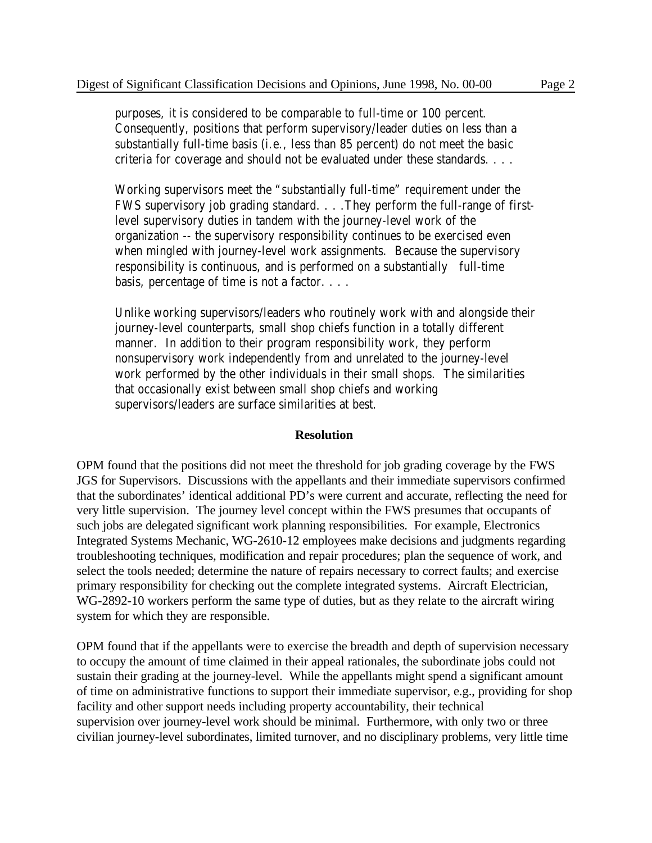purposes, it is considered to be comparable to full-time or 100 percent. Consequently, positions that perform supervisory/leader duties on less than a substantially full-time basis (i.e., less than 85 percent) do not meet the basic criteria for coverage and should not be evaluated under these standards. . . .

Working supervisors meet the "substantially full-time" requirement under the FWS supervisory job grading standard. . . .They perform the full-range of firstlevel supervisory duties in tandem with the journey-level work of the organization -- the supervisory responsibility continues to be exercised even when mingled with journey-level work assignments. Because the supervisory responsibility is continuous, and is performed on a substantially full-time basis, percentage of time is not a factor. . . .

Unlike working supervisors/leaders who routinely work with and alongside their journey-level counterparts, small shop chiefs function in a totally different manner. In addition to their program responsibility work, they perform nonsupervisory work independently from and unrelated to the journey-level work performed by the other individuals in their small shops. The similarities that occasionally exist between small shop chiefs and working supervisors/leaders are surface similarities at best.

## **Resolution**

OPM found that the positions did not meet the threshold for job grading coverage by the FWS JGS for Supervisors. Discussions with the appellants and their immediate supervisors confirmed that the subordinates' identical additional PD's were current and accurate, reflecting the need for very little supervision. The journey level concept within the FWS presumes that occupants of such jobs are delegated significant work planning responsibilities. For example, Electronics Integrated Systems Mechanic, WG-2610-12 employees make decisions and judgments regarding troubleshooting techniques, modification and repair procedures; plan the sequence of work, and select the tools needed; determine the nature of repairs necessary to correct faults; and exercise primary responsibility for checking out the complete integrated systems. Aircraft Electrician, WG-2892-10 workers perform the same type of duties, but as they relate to the aircraft wiring system for which they are responsible.

OPM found that if the appellants were to exercise the breadth and depth of supervision necessary to occupy the amount of time claimed in their appeal rationales, the subordinate jobs could not sustain their grading at the journey-level. While the appellants might spend a significant amount of time on administrative functions to support their immediate supervisor, e.g., providing for shop facility and other support needs including property accountability, their technical supervision over journey-level work should be minimal. Furthermore, with only two or three civilian journey-level subordinates, limited turnover, and no disciplinary problems, very little time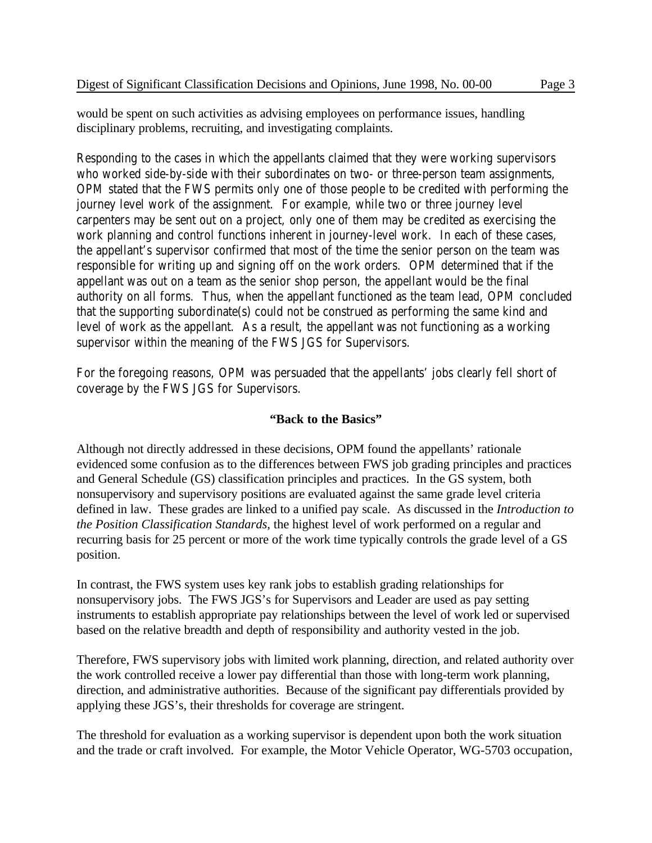would be spent on such activities as advising employees on performance issues, handling disciplinary problems, recruiting, and investigating complaints.

Responding to the cases in which the appellants claimed that they were working supervisors who worked side-by-side with their subordinates on two- or three-person team assignments, OPM stated that the FWS permits only one of those people to be credited with performing the journey level work of the assignment. For example, while two or three journey level carpenters may be sent out on a project, only one of them may be credited as exercising the work planning and control functions inherent in journey-level work. In each of these cases, the appellant's supervisor confirmed that most of the time the senior person on the team was responsible for writing up and signing off on the work orders. OPM determined that if the appellant was out on a team as the senior shop person, the appellant would be the final authority on all forms. Thus, when the appellant functioned as the team lead, OPM concluded that the supporting subordinate(s) could not be construed as performing the same kind and level of work as the appellant. As a result, the appellant was not functioning as a working supervisor within the meaning of the FWS JGS for Supervisors.

For the foregoing reasons, OPM was persuaded that the appellants' jobs clearly fell short of coverage by the FWS JGS for Supervisors.

## **"Back to the Basics"**

Although not directly addressed in these decisions, OPM found the appellants' rationale evidenced some confusion as to the differences between FWS job grading principles and practices and General Schedule (GS) classification principles and practices. In the GS system, both nonsupervisory and supervisory positions are evaluated against the same grade level criteria defined in law. These grades are linked to a unified pay scale. As discussed in the *Introduction to the Position Classification Standards*, the highest level of work performed on a regular and recurring basis for 25 percent or more of the work time typically controls the grade level of a GS position.

In contrast, the FWS system uses key rank jobs to establish grading relationships for nonsupervisory jobs. The FWS JGS's for Supervisors and Leader are used as pay setting instruments to establish appropriate pay relationships between the level of work led or supervised based on the relative breadth and depth of responsibility and authority vested in the job.

Therefore, FWS supervisory jobs with limited work planning, direction, and related authority over the work controlled receive a lower pay differential than those with long-term work planning, direction, and administrative authorities. Because of the significant pay differentials provided by applying these JGS's, their thresholds for coverage are stringent.

The threshold for evaluation as a working supervisor is dependent upon both the work situation and the trade or craft involved. For example, the Motor Vehicle Operator, WG-5703 occupation,